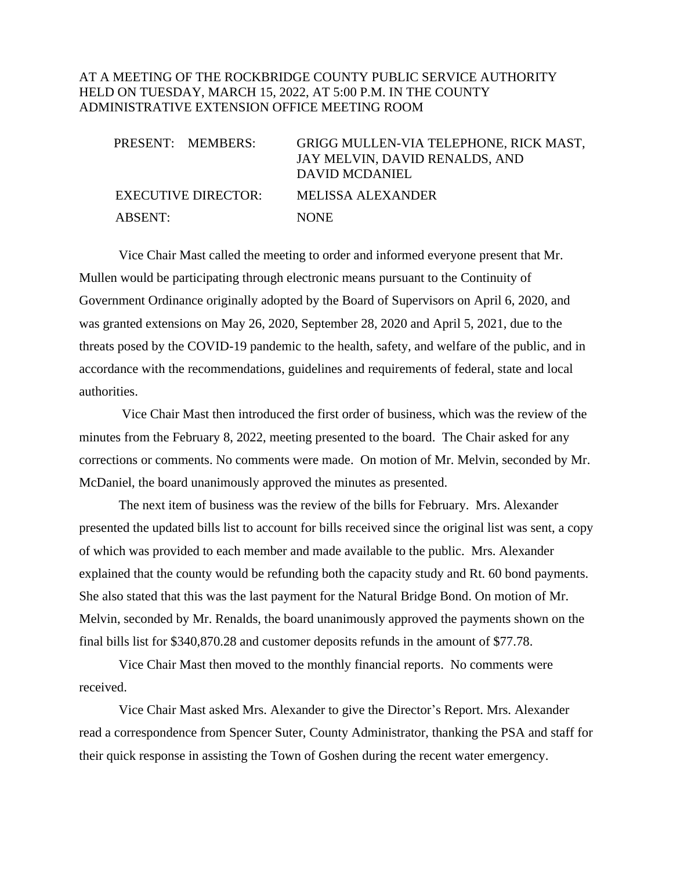### AT A MEETING OF THE ROCKBRIDGE COUNTY PUBLIC SERVICE AUTHORITY HELD ON TUESDAY, MARCH 15, 2022, AT 5:00 P.M. IN THE COUNTY ADMINISTRATIVE EXTENSION OFFICE MEETING ROOM

|         | PRESENT: MEMBERS:   | GRIGG MULLEN-VIA TELEPHONE, RICK MAST,<br>JAY MELVIN, DAVID RENALDS, AND<br>DAVID MCDANIEL |
|---------|---------------------|--------------------------------------------------------------------------------------------|
|         | EXECUTIVE DIRECTOR: | <b>MELISSA ALEXANDER</b>                                                                   |
| ABSENT: |                     | <b>NONE</b>                                                                                |

Vice Chair Mast called the meeting to order and informed everyone present that Mr. Mullen would be participating through electronic means pursuant to the Continuity of Government Ordinance originally adopted by the Board of Supervisors on April 6, 2020, and was granted extensions on May 26, 2020, September 28, 2020 and April 5, 2021, due to the threats posed by the COVID-19 pandemic to the health, safety, and welfare of the public, and in accordance with the recommendations, guidelines and requirements of federal, state and local authorities.

Vice Chair Mast then introduced the first order of business, which was the review of the minutes from the February 8, 2022, meeting presented to the board. The Chair asked for any corrections or comments. No comments were made. On motion of Mr. Melvin, seconded by Mr. McDaniel, the board unanimously approved the minutes as presented.

The next item of business was the review of the bills for February. Mrs. Alexander presented the updated bills list to account for bills received since the original list was sent, a copy of which was provided to each member and made available to the public. Mrs. Alexander explained that the county would be refunding both the capacity study and Rt. 60 bond payments. She also stated that this was the last payment for the Natural Bridge Bond. On motion of Mr. Melvin, seconded by Mr. Renalds, the board unanimously approved the payments shown on the final bills list for \$340,870.28 and customer deposits refunds in the amount of \$77.78.

Vice Chair Mast then moved to the monthly financial reports. No comments were received.

Vice Chair Mast asked Mrs. Alexander to give the Director's Report. Mrs. Alexander read a correspondence from Spencer Suter, County Administrator, thanking the PSA and staff for their quick response in assisting the Town of Goshen during the recent water emergency.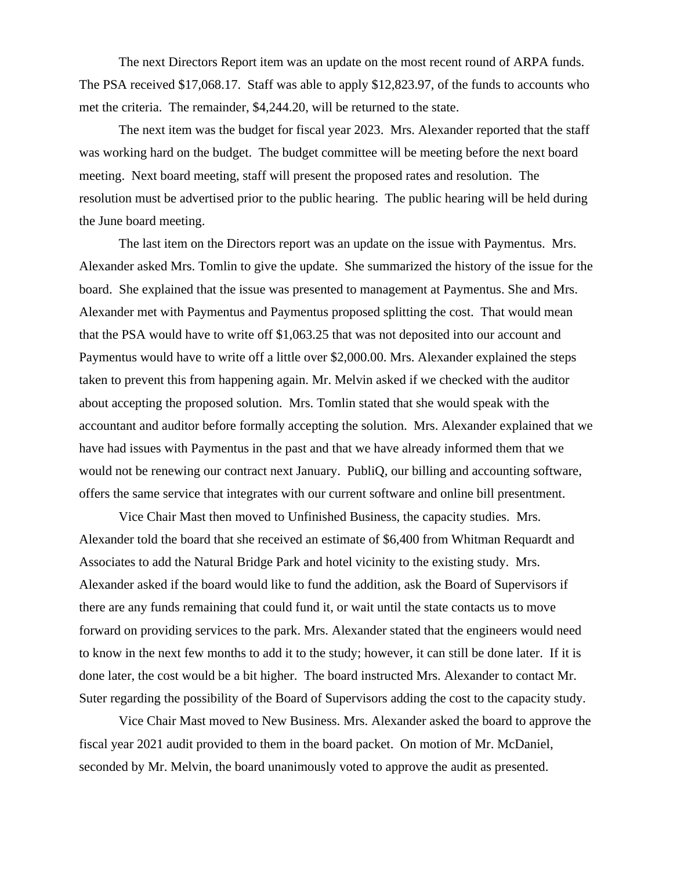The next Directors Report item was an update on the most recent round of ARPA funds. The PSA received \$17,068.17. Staff was able to apply \$12,823.97, of the funds to accounts who met the criteria. The remainder, \$4,244.20, will be returned to the state.

The next item was the budget for fiscal year 2023. Mrs. Alexander reported that the staff was working hard on the budget. The budget committee will be meeting before the next board meeting. Next board meeting, staff will present the proposed rates and resolution. The resolution must be advertised prior to the public hearing. The public hearing will be held during the June board meeting.

The last item on the Directors report was an update on the issue with Paymentus. Mrs. Alexander asked Mrs. Tomlin to give the update. She summarized the history of the issue for the board. She explained that the issue was presented to management at Paymentus. She and Mrs. Alexander met with Paymentus and Paymentus proposed splitting the cost. That would mean that the PSA would have to write off \$1,063.25 that was not deposited into our account and Paymentus would have to write off a little over \$2,000.00. Mrs. Alexander explained the steps taken to prevent this from happening again. Mr. Melvin asked if we checked with the auditor about accepting the proposed solution. Mrs. Tomlin stated that she would speak with the accountant and auditor before formally accepting the solution. Mrs. Alexander explained that we have had issues with Paymentus in the past and that we have already informed them that we would not be renewing our contract next January. PubliQ, our billing and accounting software, offers the same service that integrates with our current software and online bill presentment.

Vice Chair Mast then moved to Unfinished Business, the capacity studies. Mrs. Alexander told the board that she received an estimate of \$6,400 from Whitman Requardt and Associates to add the Natural Bridge Park and hotel vicinity to the existing study. Mrs. Alexander asked if the board would like to fund the addition, ask the Board of Supervisors if there are any funds remaining that could fund it, or wait until the state contacts us to move forward on providing services to the park. Mrs. Alexander stated that the engineers would need to know in the next few months to add it to the study; however, it can still be done later. If it is done later, the cost would be a bit higher. The board instructed Mrs. Alexander to contact Mr. Suter regarding the possibility of the Board of Supervisors adding the cost to the capacity study.

Vice Chair Mast moved to New Business. Mrs. Alexander asked the board to approve the fiscal year 2021 audit provided to them in the board packet. On motion of Mr. McDaniel, seconded by Mr. Melvin, the board unanimously voted to approve the audit as presented.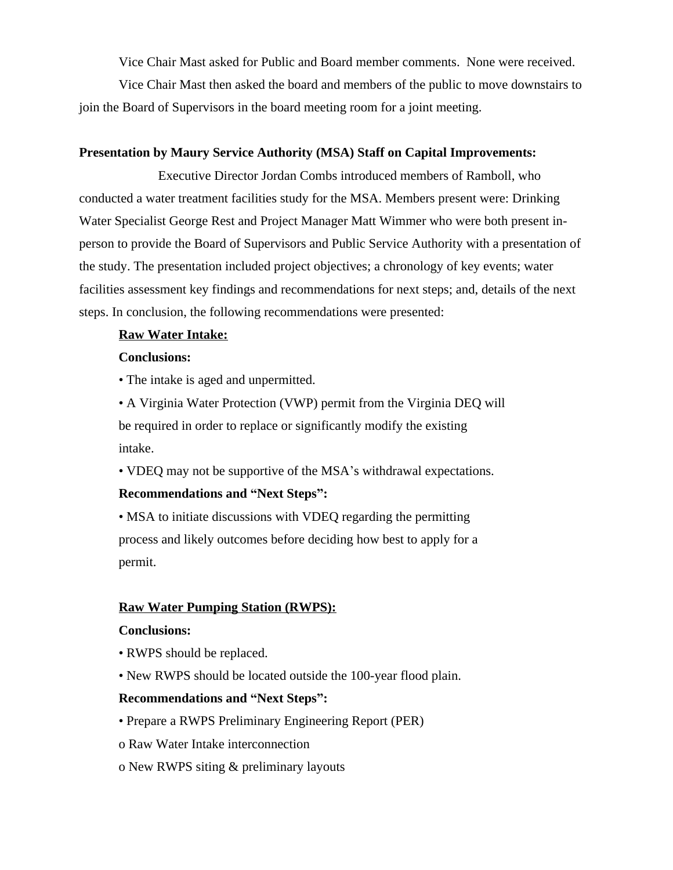Vice Chair Mast asked for Public and Board member comments. None were received.

Vice Chair Mast then asked the board and members of the public to move downstairs to join the Board of Supervisors in the board meeting room for a joint meeting.

# **Presentation by Maury Service Authority (MSA) Staff on Capital Improvements:**

Executive Director Jordan Combs introduced members of Ramboll, who conducted a water treatment facilities study for the MSA. Members present were: Drinking Water Specialist George Rest and Project Manager Matt Wimmer who were both present inperson to provide the Board of Supervisors and Public Service Authority with a presentation of the study. The presentation included project objectives; a chronology of key events; water facilities assessment key findings and recommendations for next steps; and, details of the next steps. In conclusion, the following recommendations were presented:

### **Raw Water Intake:**

#### **Conclusions:**

• The intake is aged and unpermitted.

• A Virginia Water Protection (VWP) permit from the Virginia DEQ will be required in order to replace or significantly modify the existing intake.

• VDEQ may not be supportive of the MSA's withdrawal expectations.

# **Recommendations and "Next Steps":**

• MSA to initiate discussions with VDEQ regarding the permitting process and likely outcomes before deciding how best to apply for a permit.

# **Raw Water Pumping Station (RWPS):**

#### **Conclusions:**

- RWPS should be replaced.
- New RWPS should be located outside the 100-year flood plain.

#### **Recommendations and "Next Steps":**

- Prepare a RWPS Preliminary Engineering Report (PER)
- o Raw Water Intake interconnection
- o New RWPS siting & preliminary layouts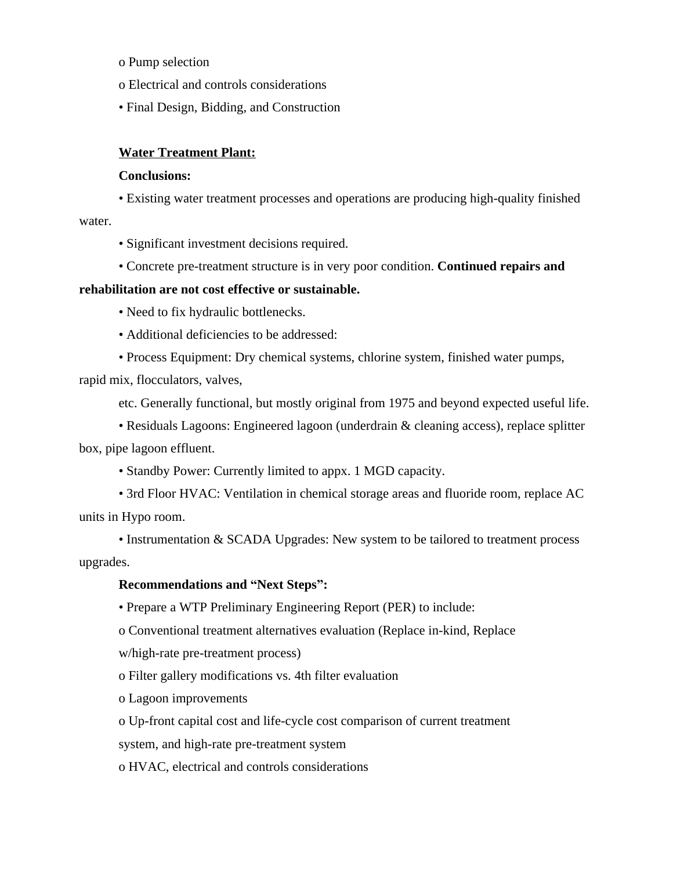o Pump selection

o Electrical and controls considerations

• Final Design, Bidding, and Construction

### **Water Treatment Plant:**

#### **Conclusions:**

• Existing water treatment processes and operations are producing high-quality finished water.

• Significant investment decisions required.

• Concrete pre-treatment structure is in very poor condition. **Continued repairs and** 

### **rehabilitation are not cost effective or sustainable.**

• Need to fix hydraulic bottlenecks.

- Additional deficiencies to be addressed:
- Process Equipment: Dry chemical systems, chlorine system, finished water pumps,

rapid mix, flocculators, valves,

etc. Generally functional, but mostly original from 1975 and beyond expected useful life.

• Residuals Lagoons: Engineered lagoon (underdrain & cleaning access), replace splitter box, pipe lagoon effluent.

• Standby Power: Currently limited to appx. 1 MGD capacity.

• 3rd Floor HVAC: Ventilation in chemical storage areas and fluoride room, replace AC units in Hypo room.

• Instrumentation & SCADA Upgrades: New system to be tailored to treatment process upgrades.

#### **Recommendations and "Next Steps":**

• Prepare a WTP Preliminary Engineering Report (PER) to include:

o Conventional treatment alternatives evaluation (Replace in-kind, Replace

w/high-rate pre-treatment process)

o Filter gallery modifications vs. 4th filter evaluation

o Lagoon improvements

o Up-front capital cost and life-cycle cost comparison of current treatment

system, and high-rate pre-treatment system

o HVAC, electrical and controls considerations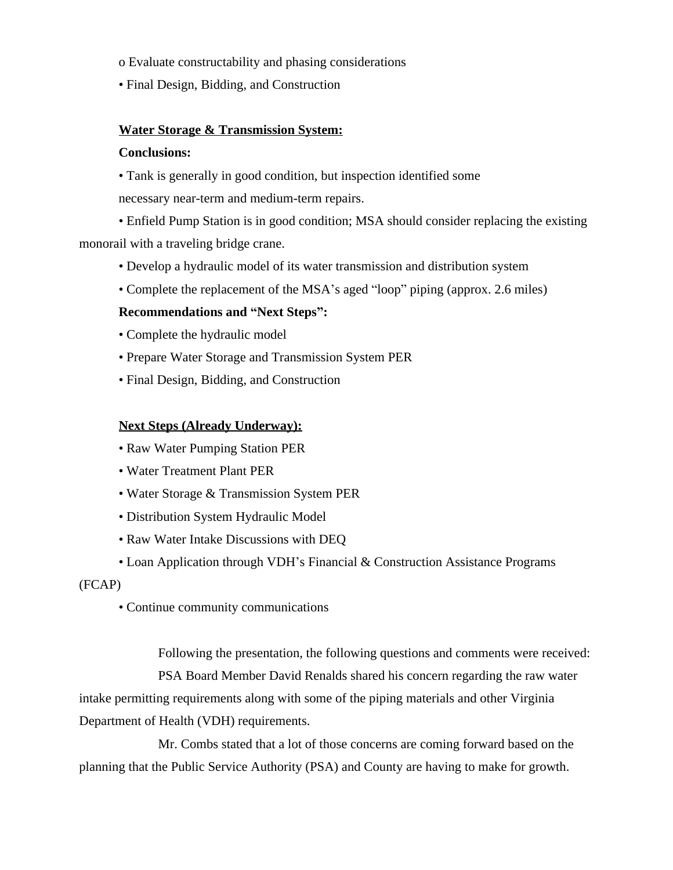o Evaluate constructability and phasing considerations

• Final Design, Bidding, and Construction

# **Water Storage & Transmission System:**

### **Conclusions:**

• Tank is generally in good condition, but inspection identified some necessary near-term and medium-term repairs.

• Enfield Pump Station is in good condition; MSA should consider replacing the existing monorail with a traveling bridge crane.

- Develop a hydraulic model of its water transmission and distribution system
- Complete the replacement of the MSA's aged "loop" piping (approx. 2.6 miles)

# **Recommendations and "Next Steps":**

- Complete the hydraulic model
- Prepare Water Storage and Transmission System PER
- Final Design, Bidding, and Construction

# **Next Steps (Already Underway):**

- Raw Water Pumping Station PER
- Water Treatment Plant PER
- Water Storage & Transmission System PER
- Distribution System Hydraulic Model
- Raw Water Intake Discussions with DEQ
- Loan Application through VDH's Financial & Construction Assistance Programs

(FCAP)

• Continue community communications

Following the presentation, the following questions and comments were received:

PSA Board Member David Renalds shared his concern regarding the raw water intake permitting requirements along with some of the piping materials and other Virginia Department of Health (VDH) requirements.

Mr. Combs stated that a lot of those concerns are coming forward based on the planning that the Public Service Authority (PSA) and County are having to make for growth.